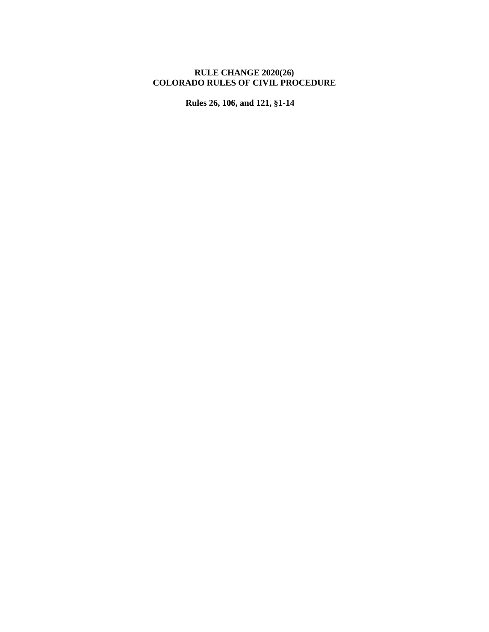## **RULE CHANGE 2020(26) COLORADO RULES OF CIVIL PROCEDURE**

**Rules 26, 106, and 121, §1-14**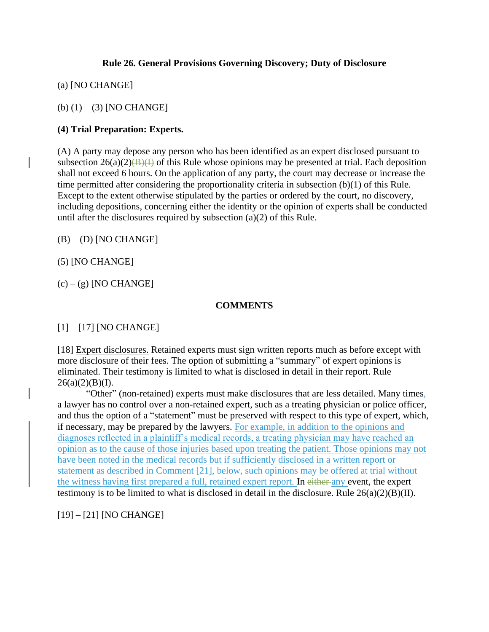## **Rule 26. General Provisions Governing Discovery; Duty of Disclosure**

(a) [NO CHANGE]

(b)  $(1) - (3)$  [NO CHANGE]

## **(4) Trial Preparation: Experts.**

(A) A party may depose any person who has been identified as an expert disclosed pursuant to subsection  $26(a)(2)$ (B)(I) of this Rule whose opinions may be presented at trial. Each deposition shall not exceed 6 hours. On the application of any party, the court may decrease or increase the time permitted after considering the proportionality criteria in subsection (b)(1) of this Rule. Except to the extent otherwise stipulated by the parties or ordered by the court, no discovery, including depositions, concerning either the identity or the opinion of experts shall be conducted until after the disclosures required by subsection (a)(2) of this Rule.

 $(B) - (D)$  [NO CHANGE]

(5) [NO CHANGE]

 $(c) - (g)$  [NO CHANGE]

## **COMMENTS**

[1] – [17] [NO CHANGE]

[18] Expert disclosures. Retained experts must sign written reports much as before except with more disclosure of their fees. The option of submitting a "summary" of expert opinions is eliminated. Their testimony is limited to what is disclosed in detail in their report. Rule  $26(a)(2)(B)(I).$ 

"Other" (non-retained) experts must make disclosures that are less detailed. Many times, a lawyer has no control over a non-retained expert, such as a treating physician or police officer, and thus the option of a "statement" must be preserved with respect to this type of expert, which, if necessary, may be prepared by the lawyers. For example, in addition to the opinions and diagnoses reflected in a plaintiff's medical records, a treating physician may have reached an opinion as to the cause of those injuries based upon treating the patient. Those opinions may not have been noted in the medical records but if sufficiently disclosed in a written report or statement as described in Comment [21], below, such opinions may be offered at trial without the witness having first prepared a full, retained expert report. In either any event, the expert testimony is to be limited to what is disclosed in detail in the disclosure. Rule  $26(a)(2)(B)(II)$ .

[19] – [21] [NO CHANGE]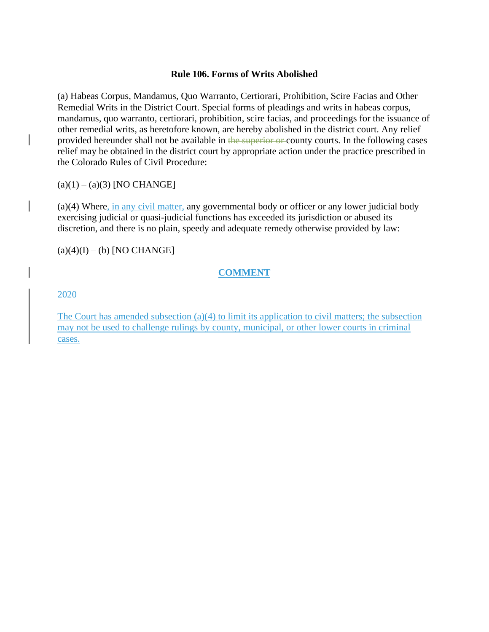#### **Rule 106. Forms of Writs Abolished**

(a) Habeas Corpus, Mandamus, Quo Warranto, Certiorari, Prohibition, Scire Facias and Other Remedial Writs in the District Court. Special forms of pleadings and writs in habeas corpus, mandamus, quo warranto, certiorari, prohibition, scire facias, and proceedings for the issuance of other remedial writs, as heretofore known, are hereby abolished in the district court. Any relief provided hereunder shall not be available in the superior or county courts. In the following cases relief may be obtained in the district court by appropriate action under the practice prescribed in the Colorado Rules of Civil Procedure:

 $(a)(1) - (a)(3)$  [NO CHANGE]

(a)(4) Where, in any civil matter, any governmental body or officer or any lower judicial body exercising judicial or quasi-judicial functions has exceeded its jurisdiction or abused its discretion, and there is no plain, speedy and adequate remedy otherwise provided by law:

 $(a)(4)(I) - (b)$  [NO CHANGE]

## **COMMENT**

### 2020

The Court has amended subsection (a)(4) to limit its application to civil matters; the subsection may not be used to challenge rulings by county, municipal, or other lower courts in criminal cases.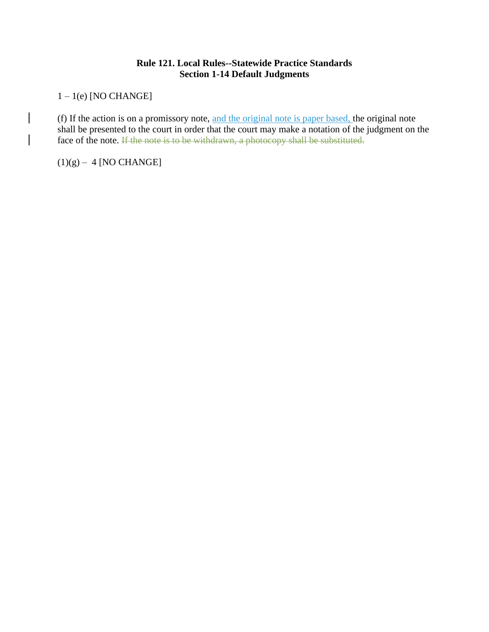### **Rule 121. Local Rules--Statewide Practice Standards Section 1-14 Default Judgments**

1 – 1(e) [NO CHANGE]

(f) If the action is on a promissory note, and the original note is paper based, the original note shall be presented to the court in order that the court may make a notation of the judgment on the face of the note. If the note is to be withdrawn, a photocopy shall be substituted.

 $(1)(g) - 4$  [NO CHANGE]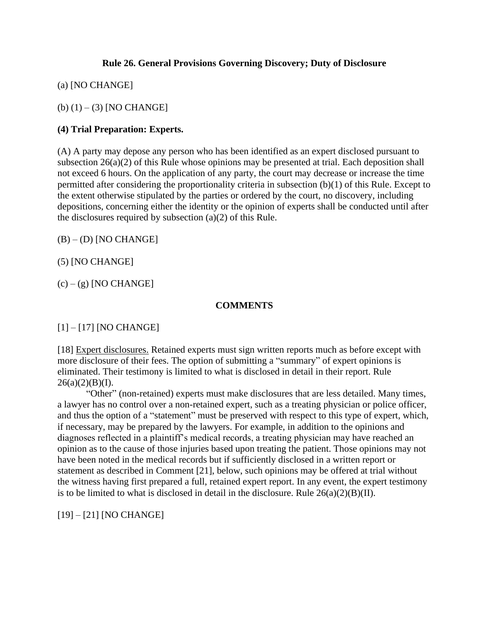## **Rule 26. General Provisions Governing Discovery; Duty of Disclosure**

(a) [NO CHANGE]

(b)  $(1) - (3)$  [NO CHANGE]

## **(4) Trial Preparation: Experts.**

(A) A party may depose any person who has been identified as an expert disclosed pursuant to subsection 26(a)(2) of this Rule whose opinions may be presented at trial. Each deposition shall not exceed 6 hours. On the application of any party, the court may decrease or increase the time permitted after considering the proportionality criteria in subsection (b)(1) of this Rule. Except to the extent otherwise stipulated by the parties or ordered by the court, no discovery, including depositions, concerning either the identity or the opinion of experts shall be conducted until after the disclosures required by subsection (a)(2) of this Rule.

 $(B) - (D)$  [NO CHANGE]

(5) [NO CHANGE]

 $(c) - (g)$  [NO CHANGE]

## **COMMENTS**

[1] – [17] [NO CHANGE]

[18] Expert disclosures. Retained experts must sign written reports much as before except with more disclosure of their fees. The option of submitting a "summary" of expert opinions is eliminated. Their testimony is limited to what is disclosed in detail in their report. Rule  $26(a)(2)(B)(I).$ 

"Other" (non-retained) experts must make disclosures that are less detailed. Many times, a lawyer has no control over a non-retained expert, such as a treating physician or police officer, and thus the option of a "statement" must be preserved with respect to this type of expert, which, if necessary, may be prepared by the lawyers. For example, in addition to the opinions and diagnoses reflected in a plaintiff's medical records, a treating physician may have reached an opinion as to the cause of those injuries based upon treating the patient. Those opinions may not have been noted in the medical records but if sufficiently disclosed in a written report or statement as described in Comment [21], below, such opinions may be offered at trial without the witness having first prepared a full, retained expert report. In any event, the expert testimony is to be limited to what is disclosed in detail in the disclosure. Rule  $26(a)(2)(B)(II)$ .

[19] – [21] [NO CHANGE]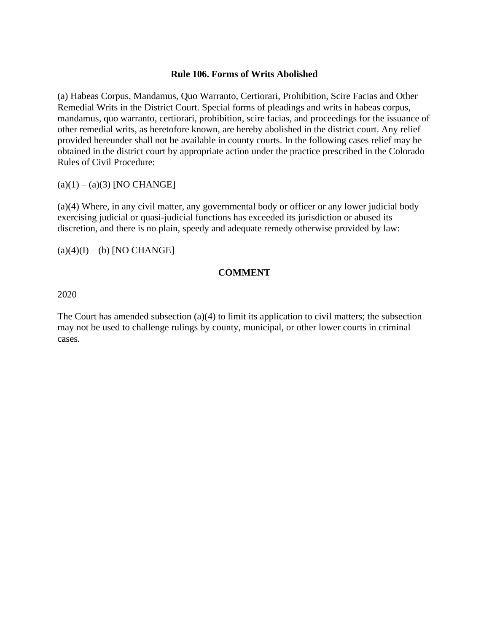### **Rule 106. Forms of Writs Abolished**

(a) Habeas Corpus, Mandamus, Quo Warranto, Certiorari, Prohibition, Scire Facias and Other Remedial Writs in the District Court. Special forms of pleadings and writs in habeas corpus, mandamus, quo warranto, certiorari, prohibition, scire facias, and proceedings for the issuance of other remedial writs, as heretofore known, are hereby abolished in the district court. Any relief provided hereunder shall not be available in county courts. In the following cases relief may be obtained in the district court by appropriate action under the practice prescribed in the Colorado Rules of Civil Procedure:

 $(a)(1) - (a)(3)$  [NO CHANGE]

(a)(4) Where, in any civil matter, any governmental body or officer or any lower judicial body exercising judicial or quasi-judicial functions has exceeded its jurisdiction or abused its discretion, and there is no plain, speedy and adequate remedy otherwise provided by law:

 $(a)(4)(I) - (b)$  [NO CHANGE]

### **COMMENT**

2020

The Court has amended subsection (a)(4) to limit its application to civil matters; the subsection may not be used to challenge rulings by county, municipal, or other lower courts in criminal cases.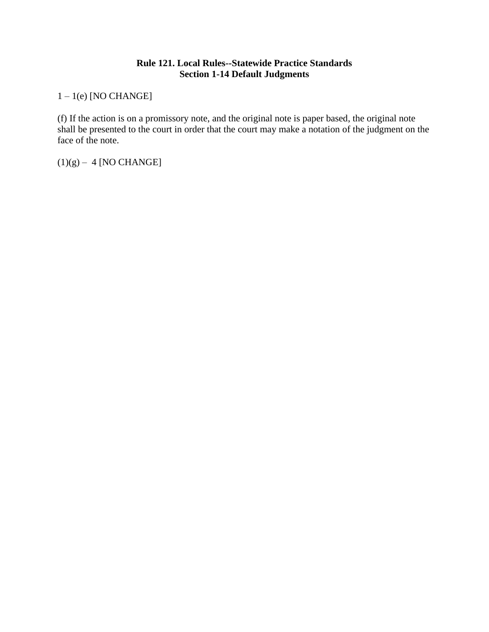# **Rule 121. Local Rules--Statewide Practice Standards Section 1-14 Default Judgments**

1 – 1(e) [NO CHANGE]

(f) If the action is on a promissory note, and the original note is paper based, the original note shall be presented to the court in order that the court may make a notation of the judgment on the face of the note.

 $(1)(g) - 4$  [NO CHANGE]